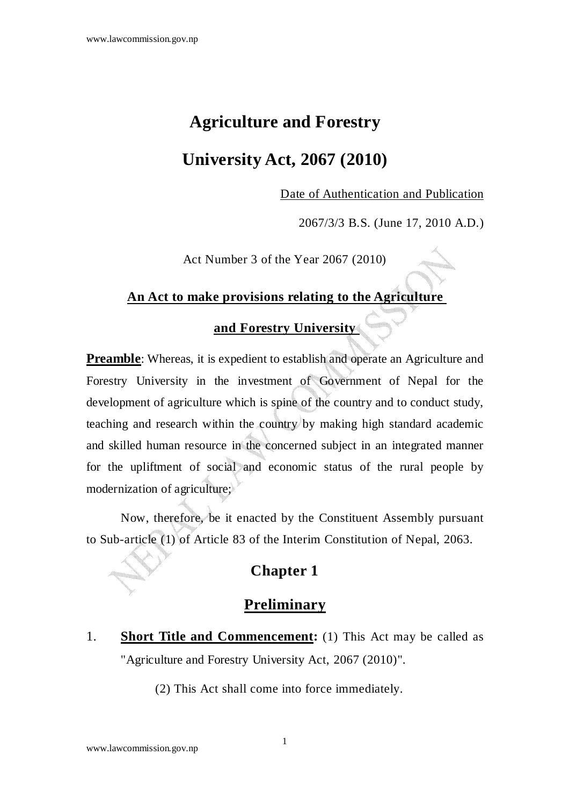## **Agriculture and Forestry**

### **University Act, 2067 (2010)**

Date of Authentication and Publication

2067/3/3 B.S. (June 17, 2010 A.D.)

Act Number 3 of the Year 2067 (2010)

#### **An Act to make provisions relating to the Agriculture**

### **and Forestry University**

**Preamble**: Whereas, it is expedient to establish and operate an Agriculture and Forestry University in the investment of Government of Nepal for the development of agriculture which is spine of the country and to conduct study, teaching and research within the country by making high standard academic and skilled human resource in the concerned subject in an integrated manner for the upliftment of social and economic status of the rural people by modernization of agriculture;

Now, therefore, be it enacted by the Constituent Assembly pursuant to Sub-article (1) of Article 83 of the Interim Constitution of Nepal, 2063.

#### **Chapter 1**

#### **Preliminary**

1. **Short Title and Commencement:** (1) This Act may be called as "Agriculture and Forestry University Act, 2067 (2010)".

(2) This Act shall come into force immediately.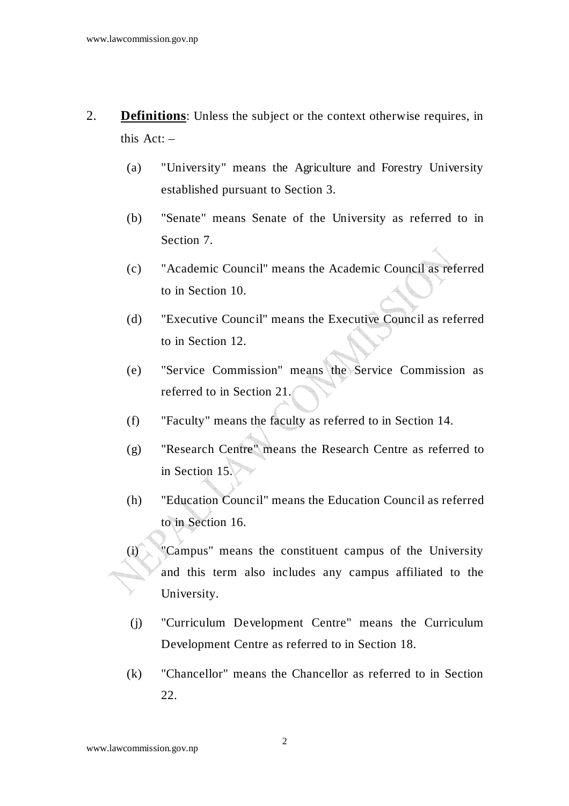- 2. **Definitions**: Unless the subject or the context otherwise requires, in this Act: –
	- (a) "University" means the Agriculture and Forestry University established pursuant to Section 3.
	- (b) "Senate" means Senate of the University as referred to in Section 7.
	- (c) "Academic Council" means the Academic Council as referred to in Section 10.
	- (d) "Executive Council" means the Executive Council as referred to in Section 12.
	- (e) "Service Commission" means the Service Commission as referred to in Section 21.
	- (f) "Faculty" means the faculty as referred to in Section 14.
	- (g) "Research Centre" means the Research Centre as referred to in Section 15.
	- (h) "Education Council" means the Education Council as referred to in Section 16.
	- (i) "Campus" means the constituent campus of the University and this term also includes any campus affiliated to the University.
		- (j) "Curriculum Development Centre" means the Curriculum Development Centre as referred to in Section 18.
	- (k) "Chancellor" means the Chancellor as referred to in Section 22.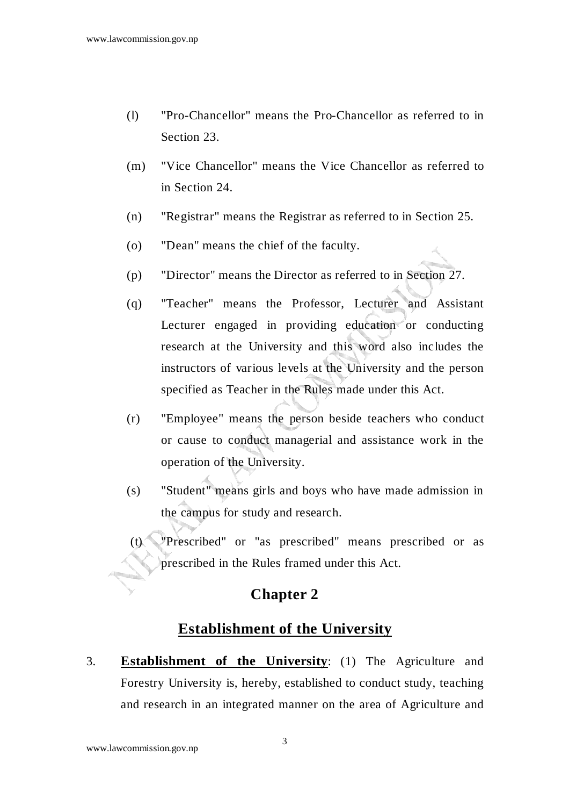- (l) "Pro-Chancellor" means the Pro-Chancellor as referred to in Section 23.
- (m) "Vice Chancellor" means the Vice Chancellor as referred to in Section 24.
- (n) "Registrar" means the Registrar as referred to in Section 25.
- (o) "Dean" means the chief of the faculty.
- (p) "Director" means the Director as referred to in Section 27.
- (q) "Teacher" means the Professor, Lecturer and Assistant Lecturer engaged in providing education or conducting research at the University and this word also includes the instructors of various levels at the University and the person specified as Teacher in the Rules made under this Act.
- (r) "Employee" means the person beside teachers who conduct or cause to conduct managerial and assistance work in the operation of the University.
- (s) "Student" means girls and boys who have made admission in the campus for study and research.
- (t) "Prescribed" or "as prescribed" means prescribed or as prescribed in the Rules framed under this Act.

### **Chapter 2**

### **Establishment of the University**

3. **Establishment of the University**: (1) The Agriculture and Forestry University is, hereby, established to conduct study, teaching and research in an integrated manner on the area of Agriculture and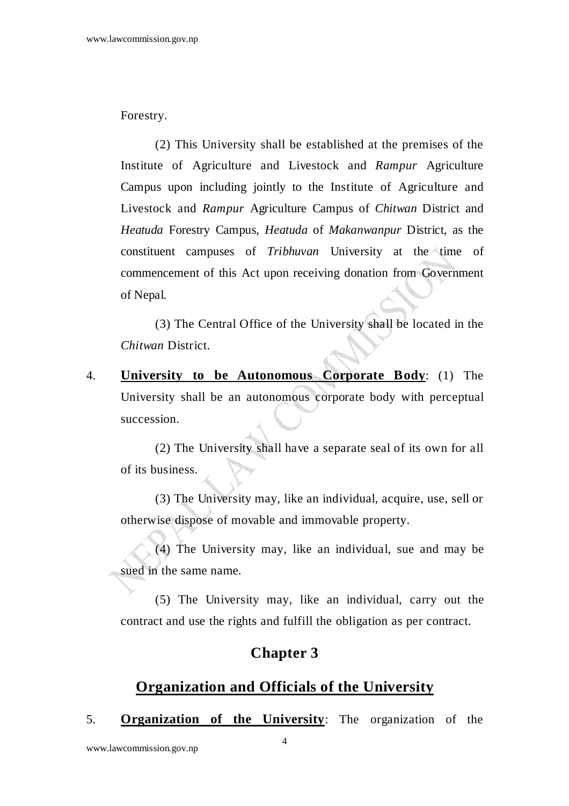Forestry.

 (2) This University shall be established at the premises of the Institute of Agriculture and Livestock and *Rampur* Agriculture Campus upon including jointly to the Institute of Agriculture and Livestock and *Rampur* Agriculture Campus of *Chitwan* District and *Heatuda* Forestry Campus, *Heatuda* of *Makanwanpur* District, as the constituent campuses of *Tribhuvan* University at the time of commencement of this Act upon receiving donation from Government of Nepal.

 (3) The Central Office of the University shall be located in the *Chitwan* District.

4. **University to be Autonomous Corporate Body**: (1) The University shall be an autonomous corporate body with perceptual succession.

 (2) The University shall have a separate seal of its own for all of its business.

 (3) The University may, like an individual, acquire, use, sell or otherwise dispose of movable and immovable property.

 (4) The University may, like an individual, sue and may be sued in the same name.

 (5) The University may, like an individual, carry out the contract and use the rights and fulfill the obligation as per contract.

### **Chapter 3**

### **Organization and Officials of the University**

5. **Organization of the University**: The organization of the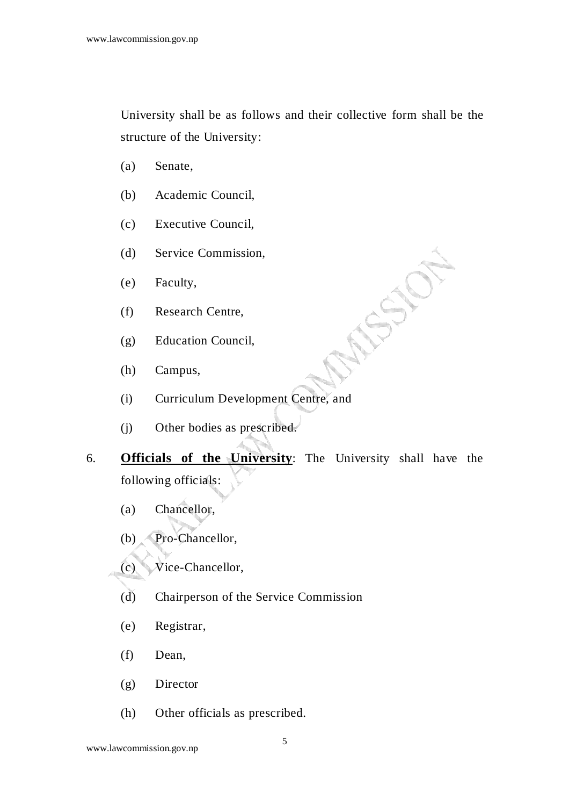University shall be as follows and their collective form shall be the structure of the University:

**FORD** 

- (a) Senate,
- (b) Academic Council,
- (c) Executive Council,
- (d) Service Commission,
- (e) Faculty,
- (f) Research Centre,
- (g) Education Council,
- (h) Campus,
- (i) Curriculum Development Centre, and
- (j) Other bodies as prescribed.
- 6. **Officials of the University**: The University shall have the following officials:
	- (a) Chancellor,
	- (b) Pro-Chancellor,
	- (c) Vice-Chancellor,
	- (d) Chairperson of the Service Commission
	- (e) Registrar,
	- (f) Dean,
	- (g) Director
	- (h) Other officials as prescribed.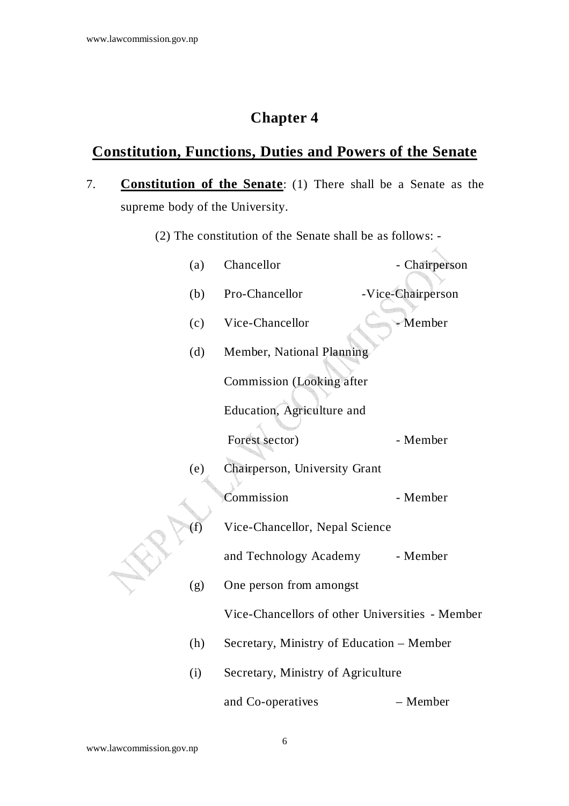## **Chapter 4**

## **Constitution, Functions, Duties and Powers of the Senate**

- 7. **Constitution of the Senate**: (1) There shall be a Senate as the supreme body of the University.
	- (2) The constitution of the Senate shall be as follows: -

 $\measuredangle$ 

|  | (a) | Chancellor                                      | - Chairperson     |  |
|--|-----|-------------------------------------------------|-------------------|--|
|  | (b) | Pro-Chancellor                                  | -Vice-Chairperson |  |
|  | (c) | Vice-Chancellor                                 | Member            |  |
|  | (d) | Member, National Planning                       |                   |  |
|  |     | Commission (Looking after                       |                   |  |
|  |     | Education, Agriculture and                      |                   |  |
|  |     | Forest sector)                                  | - Member          |  |
|  | (e) | Chairperson, University Grant                   |                   |  |
|  |     | Commission                                      | - Member          |  |
|  | (f) | Vice-Chancellor, Nepal Science                  |                   |  |
|  |     | and Technology Academy                          | - Member          |  |
|  | (g) | One person from amongst                         |                   |  |
|  |     | Vice-Chancellors of other Universities - Member |                   |  |
|  | (h) | Secretary, Ministry of Education – Member       |                   |  |
|  | (i) | Secretary, Ministry of Agriculture              |                   |  |
|  |     | and Co-operatives                               | – Member          |  |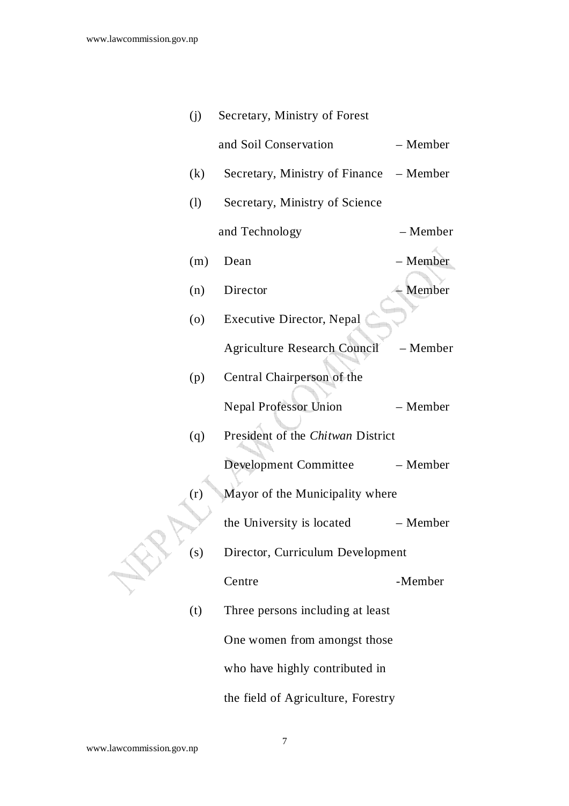| (j)               | Secretary, Ministry of Forest           |          |
|-------------------|-----------------------------------------|----------|
|                   | and Soil Conservation                   | - Member |
| (k)               | Secretary, Ministry of Finance – Member |          |
| (1)               | Secretary, Ministry of Science          |          |
|                   | and Technology                          | - Member |
| (m)               | Dean                                    | - Member |
| (n)               | Director                                | - Member |
| $\left( 0\right)$ | <b>Executive Director, Nepal</b>        |          |
|                   | Agriculture Research Council            | - Member |
| (p)               | Central Chairperson of the              |          |
|                   | <b>Nepal Professor Union</b>            | - Member |
| (q)               | President of the Chitwan District       |          |
|                   | <b>Development Committee</b>            | - Member |
| (r)               | Mayor of the Municipality where         |          |
|                   | the University is located               | – Member |
| (s)               | Director, Curriculum Development        |          |
|                   | Centre                                  | -Member  |
| (t)               | Three persons including at least        |          |
|                   | One women from amongst those            |          |
|                   | who have highly contributed in          |          |
|                   | the field of Agriculture, Forestry      |          |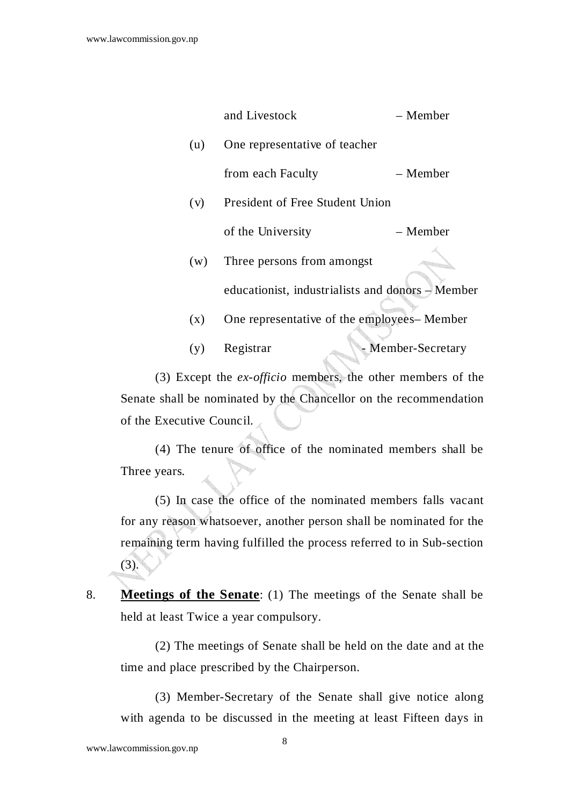|     | and Livestock                                    | – Member         |
|-----|--------------------------------------------------|------------------|
| (u) | One representative of teacher                    |                  |
|     | from each Faculty                                | – Member         |
| (v) | <b>President of Free Student Union</b>           |                  |
|     | of the University                                | – Member         |
| (w) | Three persons from amongst                       |                  |
|     | educationist, industrialists and donors – Member |                  |
| (x) | One representative of the employees– Member      |                  |
| (y) | Registrar                                        | Member-Secretary |

 (3) Except the *ex-officio* members, the other members of the Senate shall be nominated by the Chancellor on the recommendation of the Executive Council.

 (4) The tenure of office of the nominated members shall be Three years.

 (5) In case the office of the nominated members falls vacant for any reason whatsoever, another person shall be nominated for the remaining term having fulfilled the process referred to in Sub-section (3).

8. **Meetings of the Senate**: (1) The meetings of the Senate shall be held at least Twice a year compulsory.

 (2) The meetings of Senate shall be held on the date and at the time and place prescribed by the Chairperson.

 (3) Member-Secretary of the Senate shall give notice along with agenda to be discussed in the meeting at least Fifteen days in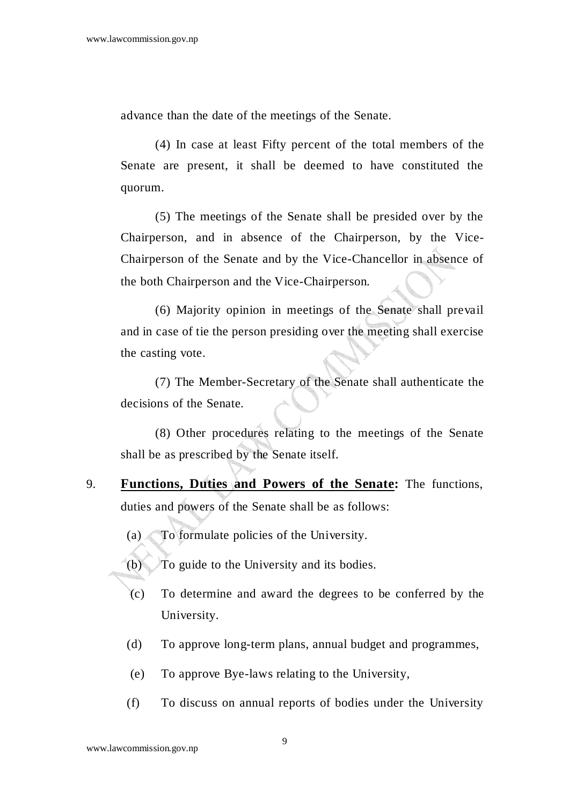advance than the date of the meetings of the Senate.

 (4) In case at least Fifty percent of the total members of the Senate are present, it shall be deemed to have constituted the quorum.

 (5) The meetings of the Senate shall be presided over by the Chairperson, and in absence of the Chairperson, by the Vice-Chairperson of the Senate and by the Vice-Chancellor in absence of the both Chairperson and the Vice-Chairperson.

 (6) Majority opinion in meetings of the Senate shall prevail and in case of tie the person presiding over the meeting shall exercise the casting vote.

 (7) The Member-Secretary of the Senate shall authenticate the decisions of the Senate.

 (8) Other procedures relating to the meetings of the Senate shall be as prescribed by the Senate itself.

- 9. **Functions, Duties and Powers of the Senate:** The functions, duties and powers of the Senate shall be as follows:
	- (a) To formulate policies of the University.
	- (b) To guide to the University and its bodies.
	- (c) To determine and award the degrees to be conferred by the University.
	- (d) To approve long-term plans, annual budget and programmes,
	- (e) To approve Bye-laws relating to the University,
	- (f) To discuss on annual reports of bodies under the University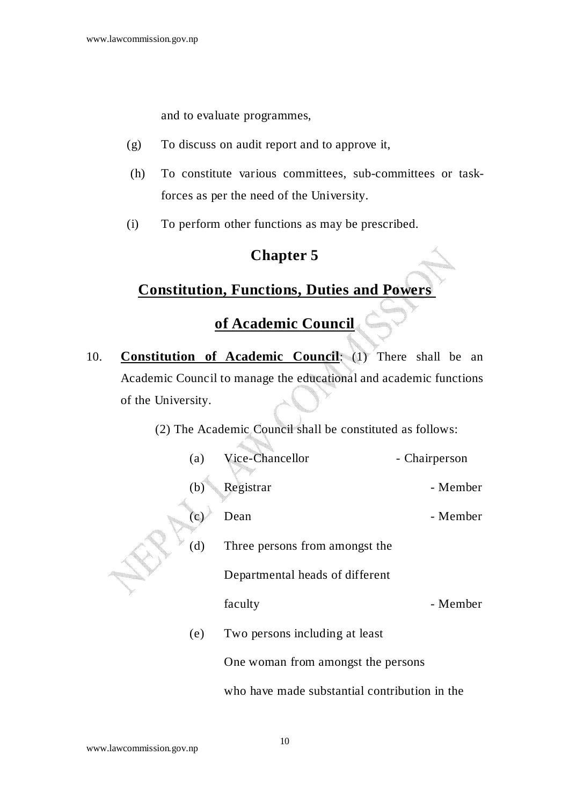and to evaluate programmes,

- (g) To discuss on audit report and to approve it,
- (h) To constitute various committees, sub-committees or taskforces as per the need of the University.
- (i) To perform other functions as may be prescribed.

### **Chapter 5**

### **Constitution, Functions, Duties and Powers**

## **of Academic Council**

10. **Constitution of Academic Council**: (1) There shall be an Academic Council to manage the educational and academic functions of the University.

> ha T þ.,

(2) The Academic Council shall be constituted as follows:

|  | (a)          | Vice-Chancellor                               | - Chairperson |
|--|--------------|-----------------------------------------------|---------------|
|  | (b)          | Registrar                                     | - Member      |
|  | $\mathbf{c}$ | Dean                                          | - Member      |
|  | (d)          | Three persons from amongst the                |               |
|  |              | Departmental heads of different               |               |
|  |              | faculty                                       | - Member      |
|  | (e)          | Two persons including at least                |               |
|  |              | One woman from amongst the persons            |               |
|  |              | who have made substantial contribution in the |               |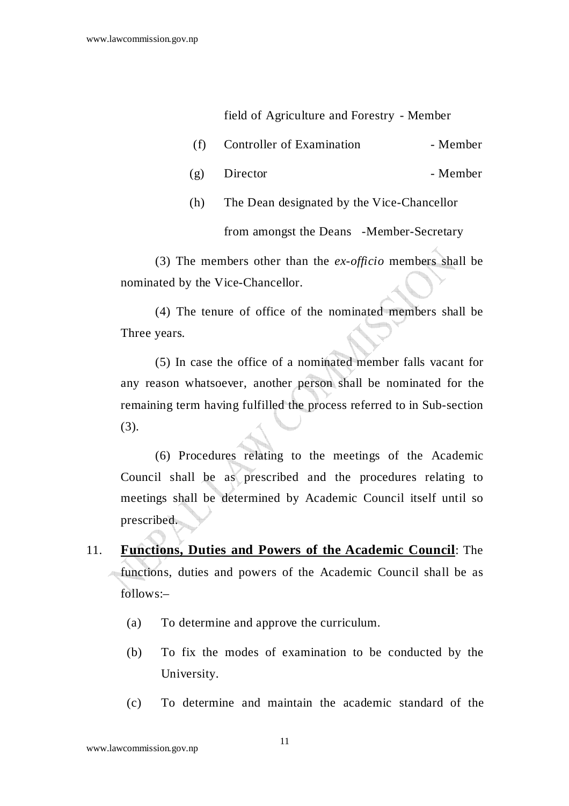field of Agriculture and Forestry - Member

- (f) Controller of Examination Member
- $(g)$  Director Member
- (h) The Dean designated by the Vice-Chancellor from amongst the Deans -Member-Secretary

 (3) The members other than the *ex-officio* members shall be nominated by the Vice-Chancellor.

 (4) The tenure of office of the nominated members shall be Three years.

 (5) In case the office of a nominated member falls vacant for any reason whatsoever, another person shall be nominated for the remaining term having fulfilled the process referred to in Sub-section (3).

 (6) Procedures relating to the meetings of the Academic Council shall be as prescribed and the procedures relating to meetings shall be determined by Academic Council itself until so prescribed.

- 11. **Functions, Duties and Powers of the Academic Council**: The functions, duties and powers of the Academic Council shall be as follows:–
	- (a) To determine and approve the curriculum.
	- (b) To fix the modes of examination to be conducted by the University.
	- (c) To determine and maintain the academic standard of the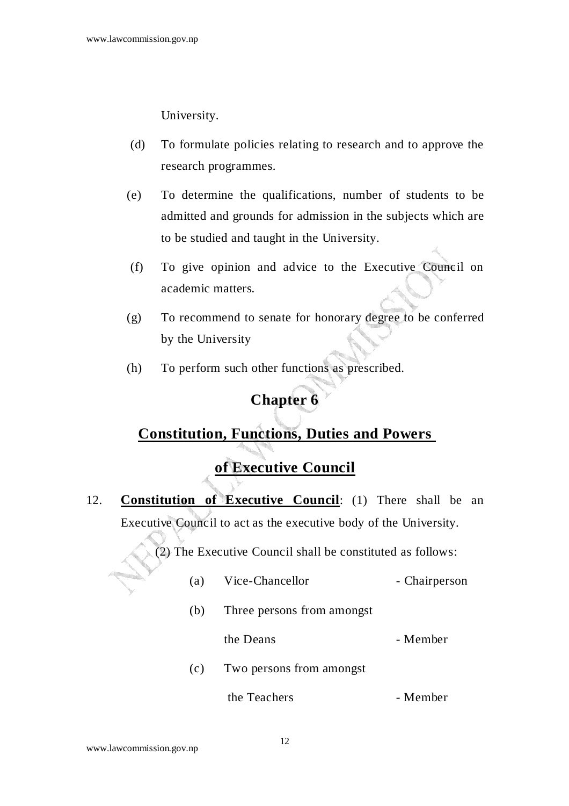University.

- (d) To formulate policies relating to research and to approve the research programmes.
- (e) To determine the qualifications, number of students to be admitted and grounds for admission in the subjects which are to be studied and taught in the University.
- (f) To give opinion and advice to the Executive Council on academic matters.
- (g) To recommend to senate for honorary degree to be conferred by the University
- (h) To perform such other functions as prescribed.

## **Chapter 6**

### **Constitution, Functions, Duties and Powers**

## **of Executive Council**

12. **Constitution of Executive Council**: (1) There shall be an Executive Council to act as the executive body of the University.

(2) The Executive Council shall be constituted as follows:

| (a) | Vice-Chancellor            | - Chairperson |
|-----|----------------------------|---------------|
| (b) | Three persons from amongst |               |
|     | the Deans                  | - Member      |
| (c) | Two persons from amongst   |               |
|     | the Teachers               | - Member      |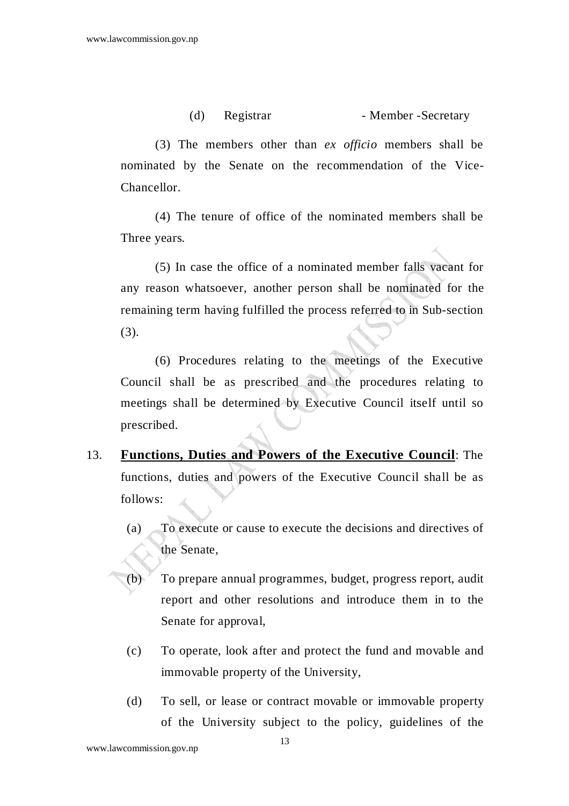#### (d) Registrar - Member - Secretary

 (3) The members other than *ex officio* members shall be nominated by the Senate on the recommendation of the Vice-Chancellor.

 (4) The tenure of office of the nominated members shall be Three years.

 (5) In case the office of a nominated member falls vacant for any reason whatsoever, another person shall be nominated for the remaining term having fulfilled the process referred to in Sub-section (3).

 (6) Procedures relating to the meetings of the Executive Council shall be as prescribed and the procedures relating to meetings shall be determined by Executive Council itself until so prescribed.

- 13. **Functions, Duties and Powers of the Executive Council**: The functions, duties and powers of the Executive Council shall be as follows:
	- (a) To execute or cause to execute the decisions and directives of the Senate,
	- (b) To prepare annual programmes, budget, progress report, audit report and other resolutions and introduce them in to the Senate for approval,
	- (c) To operate, look after and protect the fund and movable and immovable property of the University,
	- (d) To sell, or lease or contract movable or immovable property of the University subject to the policy, guidelines of the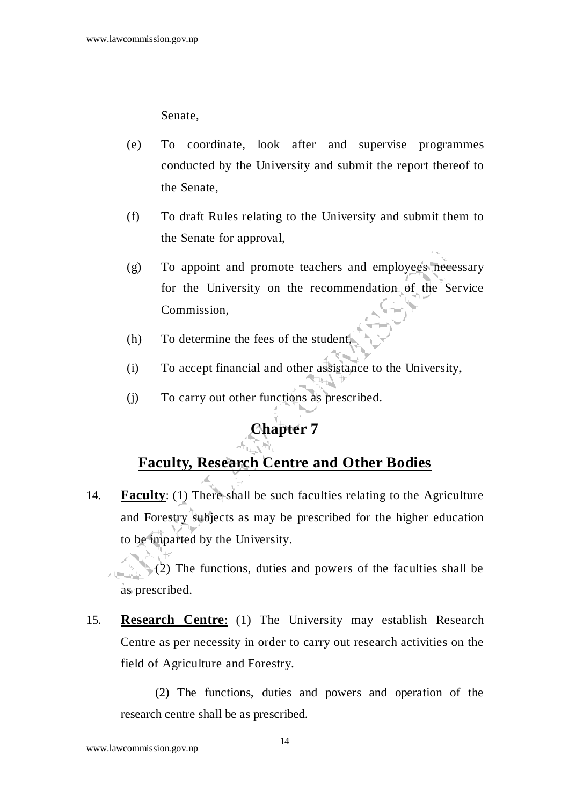Senate,

- (e) To coordinate, look after and supervise programmes conducted by the University and submit the report thereof to the Senate,
- (f) To draft Rules relating to the University and submit them to the Senate for approval,
- (g) To appoint and promote teachers and employees necessary for the University on the recommendation of the Service Commission,
- (h) To determine the fees of the student,
- (i) To accept financial and other assistance to the University,
- (j) To carry out other functions as prescribed.

#### **Chapter 7**

### **Faculty, Research Centre and Other Bodies**

14. **Faculty**: (1) There shall be such faculties relating to the Agriculture and Forestry subjects as may be prescribed for the higher education to be imparted by the University.

 (2) The functions, duties and powers of the faculties shall be as prescribed.

15. **Research Centre**: (1) The University may establish Research Centre as per necessity in order to carry out research activities on the field of Agriculture and Forestry.

 (2) The functions, duties and powers and operation of the research centre shall be as prescribed.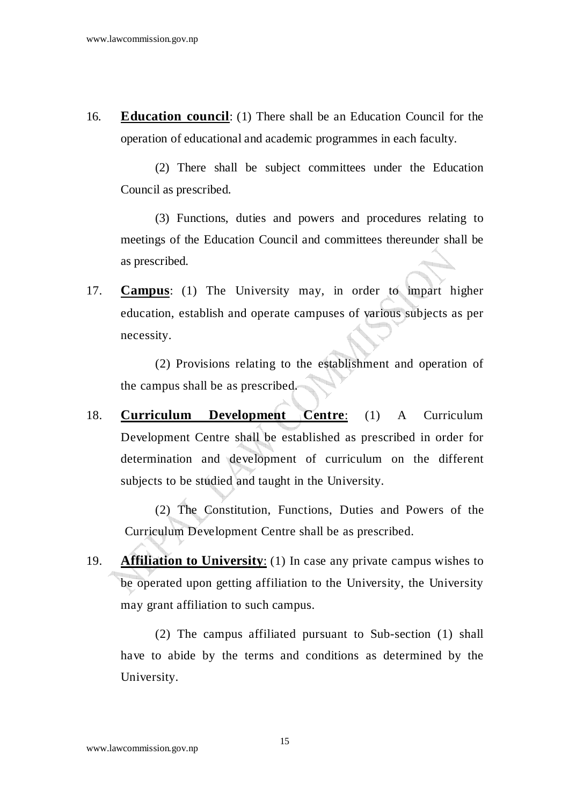16. **Education council**: (1) There shall be an Education Council for the operation of educational and academic programmes in each faculty.

 (2) There shall be subject committees under the Education Council as prescribed.

 (3) Functions, duties and powers and procedures relating to meetings of the Education Council and committees thereunder shall be as prescribed.

17. **Campus**: (1) The University may, in order to impart higher education, establish and operate campuses of various subjects as per necessity.

 (2) Provisions relating to the establishment and operation of the campus shall be as prescribed.

18. **Curriculum Development Centre**: (1) A Curriculum Development Centre shall be established as prescribed in order for determination and development of curriculum on the different subjects to be studied and taught in the University.

 (2) The Constitution, Functions, Duties and Powers of the Curriculum Development Centre shall be as prescribed.

19. **Affiliation to University**: (1) In case any private campus wishes to be operated upon getting affiliation to the University, the University may grant affiliation to such campus.

 (2) The campus affiliated pursuant to Sub-section (1) shall have to abide by the terms and conditions as determined by the University.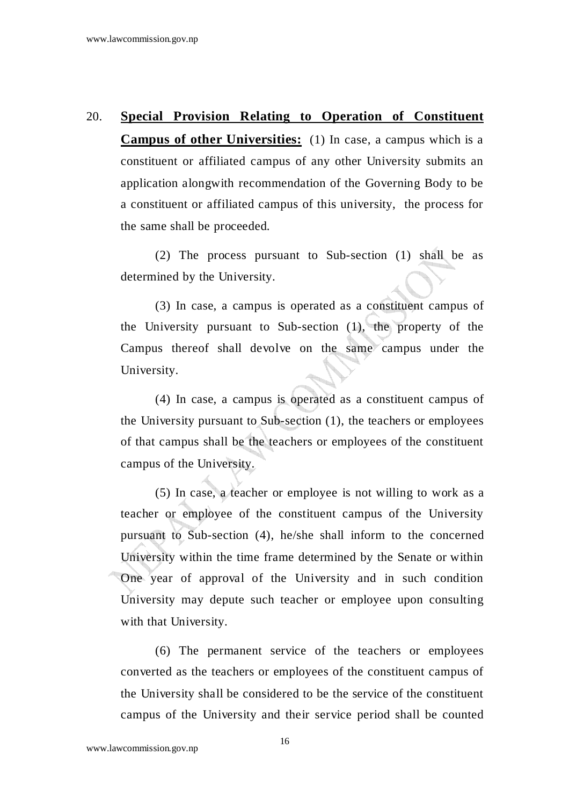# 20. **Special Provision Relating to Operation of Constituent Campus of other Universities:** (1) In case, a campus which is a constituent or affiliated campus of any other University submits an application alongwith recommendation of the Governing Body to be a constituent or affiliated campus of this university, the process for the same shall be proceeded.

 (2) The process pursuant to Sub-section (1) shall be as determined by the University.

 (3) In case, a campus is operated as a constituent campus of the University pursuant to Sub-section (1), the property of the Campus thereof shall devolve on the same campus under the University.

 (4) In case, a campus is operated as a constituent campus of the University pursuant to Sub-section (1), the teachers or employees of that campus shall be the teachers or employees of the constituent campus of the University.

 (5) In case, a teacher or employee is not willing to work as a teacher or employee of the constituent campus of the University pursuant to Sub-section (4), he/she shall inform to the concerned University within the time frame determined by the Senate or within One year of approval of the University and in such condition University may depute such teacher or employee upon consulting with that University.

 (6) The permanent service of the teachers or employees converted as the teachers or employees of the constituent campus of the University shall be considered to be the service of the constituent campus of the University and their service period shall be counted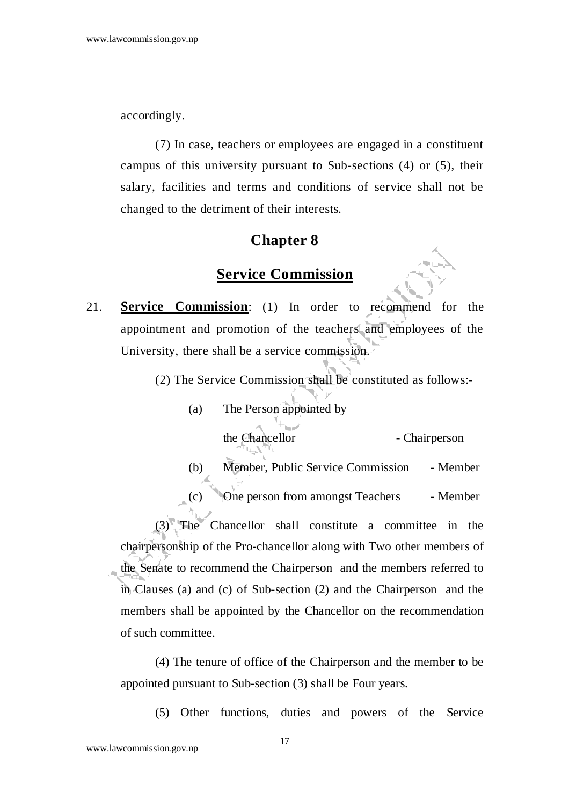accordingly.

 (7) In case, teachers or employees are engaged in a constituent campus of this university pursuant to Sub-sections (4) or (5), their salary, facilities and terms and conditions of service shall not be changed to the detriment of their interests.

#### **Chapter 8**

### **Service Commission**

- 21. **Service Commission**: (1) In order to recommend for the appointment and promotion of the teachers and employees of the University, there shall be a service commission.
	- (2) The Service Commission shall be constituted as follows:-
		- (a) The Person appointed by

the Chancellor - Chairperson

(b) Member, Public Service Commission - Member

(c) One person from amongst Teachers - Member

 (3) The Chancellor shall constitute a committee in the chairpersonship of the Pro-chancellor along with Two other members of the Senate to recommend the Chairperson and the members referred to in Clauses (a) and (c) of Sub-section (2) and the Chairperson and the members shall be appointed by the Chancellor on the recommendation of such committee.

 (4) The tenure of office of the Chairperson and the member to be appointed pursuant to Sub-section (3) shall be Four years.

(5) Other functions, duties and powers of the Service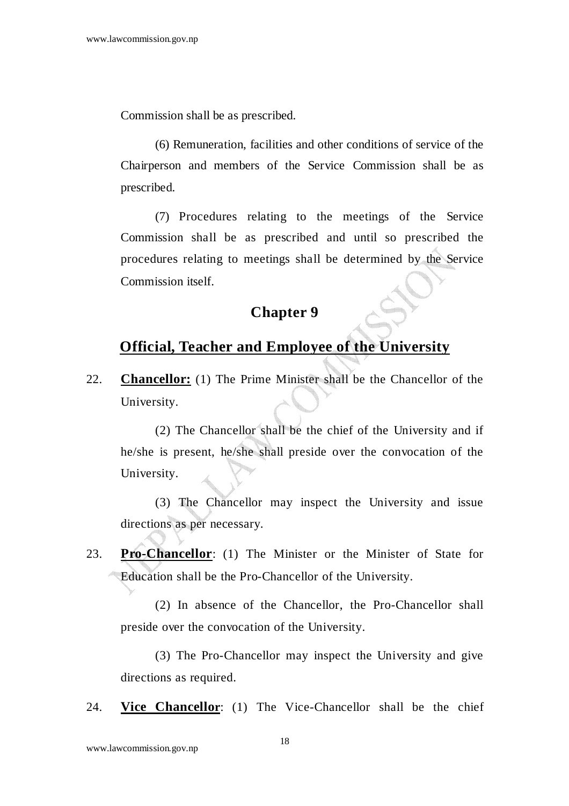Commission shall be as prescribed.

 (6) Remuneration, facilities and other conditions of service of the Chairperson and members of the Service Commission shall be as prescribed.

 (7) Procedures relating to the meetings of the Service Commission shall be as prescribed and until so prescribed the procedures relating to meetings shall be determined by the Service Commission itself.

#### **Chapter 9**

## **Official, Teacher and Employee of the University**

22. **Chancellor:** (1) The Prime Minister shall be the Chancellor of the University.

 (2) The Chancellor shall be the chief of the University and if he/she is present, he/she shall preside over the convocation of the University.

 (3) The Chancellor may inspect the University and issue directions as per necessary.

23. **Pro-Chancellor**: (1) The Minister or the Minister of State for Education shall be the Pro-Chancellor of the University.

 (2) In absence of the Chancellor, the Pro-Chancellor shall preside over the convocation of the University.

 (3) The Pro-Chancellor may inspect the University and give directions as required.

24. **Vice Chancellor**: (1) The Vice-Chancellor shall be the chief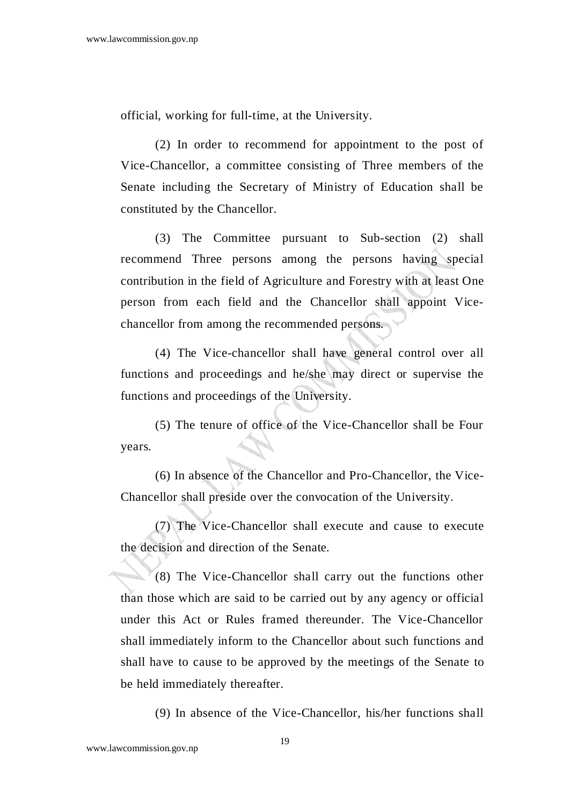official, working for full-time, at the University.

 (2) In order to recommend for appointment to the post of Vice-Chancellor, a committee consisting of Three members of the Senate including the Secretary of Ministry of Education shall be constituted by the Chancellor.

 (3) The Committee pursuant to Sub-section (2) shall recommend Three persons among the persons having special contribution in the field of Agriculture and Forestry with at least One person from each field and the Chancellor shall appoint Vicechancellor from among the recommended persons.

 (4) The Vice-chancellor shall have general control over all functions and proceedings and he/she may direct or supervise the functions and proceedings of the University.

 (5) The tenure of office of the Vice-Chancellor shall be Four years.

 (6) In absence of the Chancellor and Pro-Chancellor, the Vice-Chancellor shall preside over the convocation of the University.

 (7) The Vice-Chancellor shall execute and cause to execute the decision and direction of the Senate.

 (8) The Vice-Chancellor shall carry out the functions other than those which are said to be carried out by any agency or official under this Act or Rules framed thereunder. The Vice-Chancellor shall immediately inform to the Chancellor about such functions and shall have to cause to be approved by the meetings of the Senate to be held immediately thereafter.

(9) In absence of the Vice-Chancellor, his/her functions shall

www.lawcommission.gov.np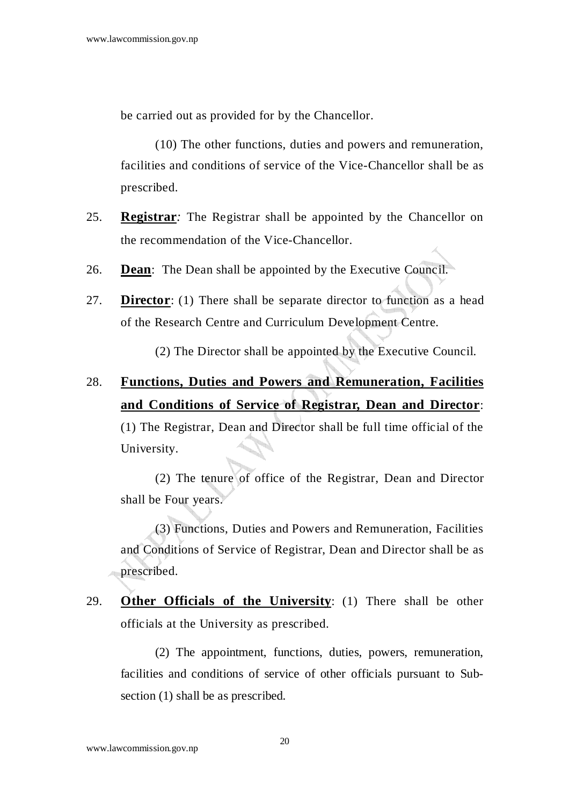be carried out as provided for by the Chancellor.

 (10) The other functions, duties and powers and remuneration, facilities and conditions of service of the Vice-Chancellor shall be as prescribed.

- 25. **Registrar***:* The Registrar shall be appointed by the Chancellor on the recommendation of the Vice-Chancellor.
- 26. **Dean**: The Dean shall be appointed by the Executive Council.
- 27. **Director**: (1) There shall be separate director to function as a head of the Research Centre and Curriculum Development Centre.

(2) The Director shall be appointed by the Executive Council.

## 28. **Functions, Duties and Powers and Remuneration, Facilities and Conditions of Service of Registrar, Dean and Director**:

(1) The Registrar, Dean and Director shall be full time official of the University.

 (2) The tenure of office of the Registrar, Dean and Director shall be Four years.

 (3) Functions, Duties and Powers and Remuneration, Facilities and Conditions of Service of Registrar, Dean and Director shall be as prescribed.

29. **Other Officials of the University**: (1) There shall be other officials at the University as prescribed.

 (2) The appointment, functions, duties, powers, remuneration, facilities and conditions of service of other officials pursuant to Subsection (1) shall be as prescribed.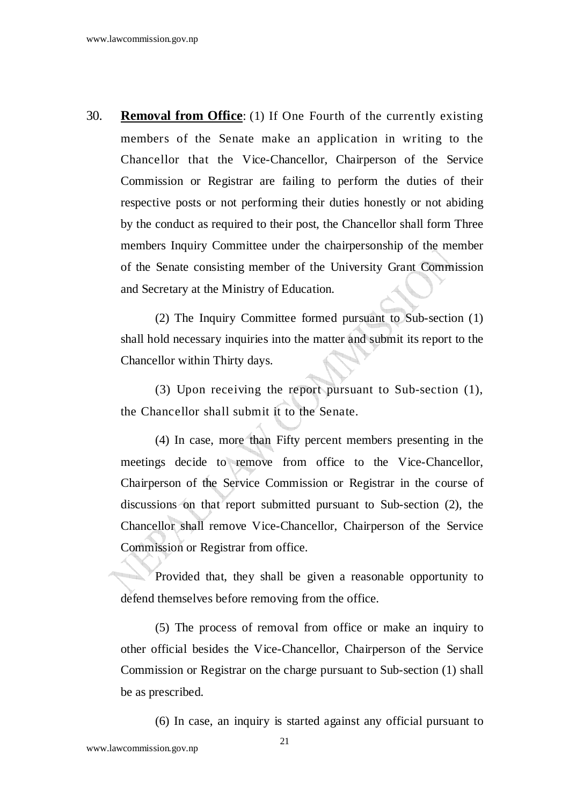30. **Removal from Office**: (1) If One Fourth of the currently existing members of the Senate make an application in writing to the Chancellor that the Vice-Chancellor, Chairperson of the Service Commission or Registrar are failing to perform the duties of their respective posts or not performing their duties honestly or not abiding by the conduct as required to their post, the Chancellor shall form Three members Inquiry Committee under the chairpersonship of the member of the Senate consisting member of the University Grant Commission and Secretary at the Ministry of Education.

(2) The Inquiry Committee formed pursuant to Sub-section (1) shall hold necessary inquiries into the matter and submit its report to the Chancellor within Thirty days.

(3) Upon receiving the report pursuant to Sub-section (1), the Chancellor shall submit it to the Senate.

(4) In case, more than Fifty percent members presenting in the meetings decide to remove from office to the Vice-Chancellor, Chairperson of the Service Commission or Registrar in the course of discussions on that report submitted pursuant to Sub-section (2), the Chancellor shall remove Vice-Chancellor, Chairperson of the Service Commission or Registrar from office.

Provided that, they shall be given a reasonable opportunity to defend themselves before removing from the office.

(5) The process of removal from office or make an inquiry to other official besides the Vice-Chancellor, Chairperson of the Service Commission or Registrar on the charge pursuant to Sub-section (1) shall be as prescribed.

(6) In case, an inquiry is started against any official pursuant to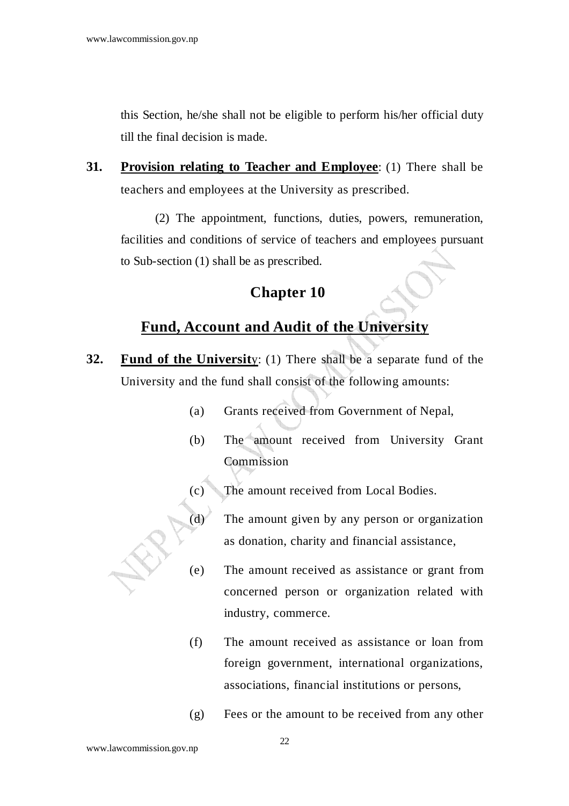this Section, he/she shall not be eligible to perform his/her official duty till the final decision is made.

**31. Provision relating to Teacher and Employee**: (1) There shall be teachers and employees at the University as prescribed.

 (2) The appointment, functions, duties, powers, remuneration, facilities and conditions of service of teachers and employees pursuant to Sub-section (1) shall be as prescribed.

#### **Chapter 10**

### **Fund, Account and Audit of the University**

- **32. Fund of the Universit**y: (1) There shall be a separate fund of the University and the fund shall consist of the following amounts:
	- (a) Grants received from Government of Nepal,
	- (b) The amount received from University Grant Commission
	- The amount received from Local Bodies.

(d) The amount given by any person or organization as donation, charity and financial assistance,

- (e) The amount received as assistance or grant from concerned person or organization related with industry, commerce.
	- (f) The amount received as assistance or loan from foreign government, international organizations, associations, financial institutions or persons,
	- (g) Fees or the amount to be received from any other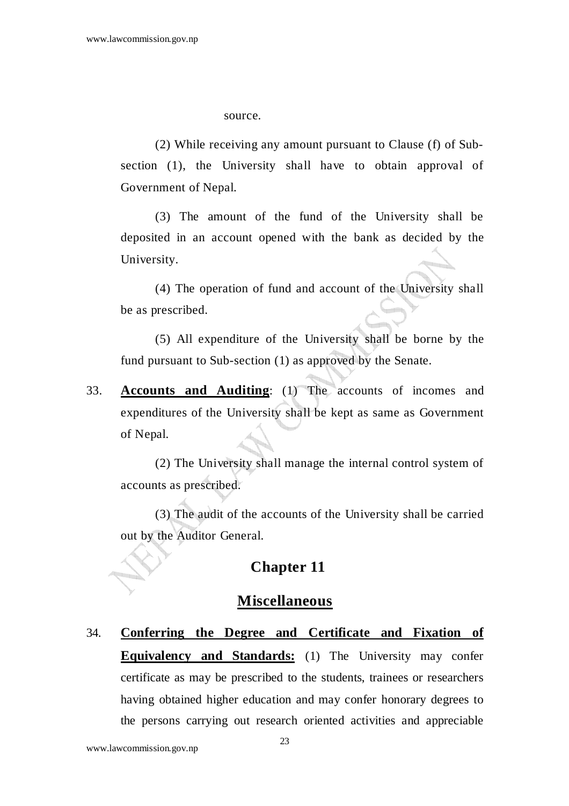source.

 (2) While receiving any amount pursuant to Clause (f) of Subsection (1), the University shall have to obtain approval of Government of Nepal.

 (3) The amount of the fund of the University shall be deposited in an account opened with the bank as decided by the University.

 (4) The operation of fund and account of the University shall be as prescribed.

 (5) All expenditure of the University shall be borne by the fund pursuant to Sub-section (1) as approved by the Senate.

33. **Accounts and Auditing**: (1) The accounts of incomes and expenditures of the University shall be kept as same as Government of Nepal.

 (2) The University shall manage the internal control system of accounts as prescribed.

 (3) The audit of the accounts of the University shall be carried out by the Auditor General.

### **Chapter 11**

#### **Miscellaneous**

34. **Conferring the Degree and Certificate and Fixation of Equivalency and Standards:** (1) The University may confer certificate as may be prescribed to the students, trainees or researchers having obtained higher education and may confer honorary degrees to the persons carrying out research oriented activities and appreciable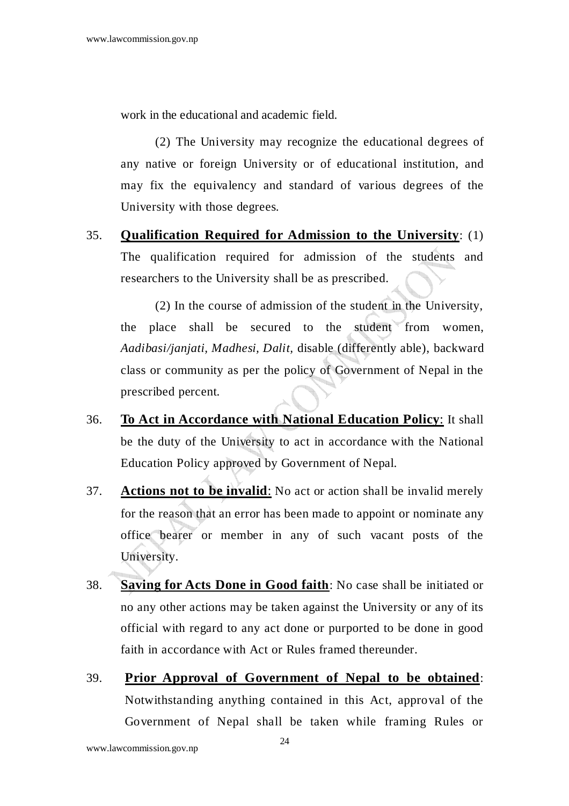work in the educational and academic field.

 (2) The University may recognize the educational degrees of any native or foreign University or of educational institution, and may fix the equivalency and standard of various degrees of the University with those degrees.

35. **Qualification Required for Admission to the University**: (1) The qualification required for admission of the students and researchers to the University shall be as prescribed.

 (2) In the course of admission of the student in the University, the place shall be secured to the student from women, *Aadibasi/janjati, Madhesi, Dalit,* disable (differently able), backward class or community as per the policy of Government of Nepal in the prescribed percent.

- 36. **To Act in Accordance with National Education Policy**: It shall be the duty of the University to act in accordance with the National Education Policy approved by Government of Nepal.
- 37. **Actions not to be invalid**: No act or action shall be invalid merely for the reason that an error has been made to appoint or nominate any office bearer or member in any of such vacant posts of the University.
- 38. **Saving for Acts Done in Good faith**: No case shall be initiated or no any other actions may be taken against the University or any of its official with regard to any act done or purported to be done in good faith in accordance with Act or Rules framed thereunder.
- 39. **Prior Approval of Government of Nepal to be obtained**: Notwithstanding anything contained in this Act, approval of the Government of Nepal shall be taken while framing Rules or